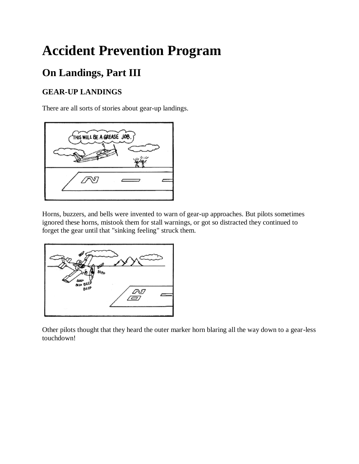# **Accident Prevention Program**

# **On Landings, Part III**

## **GEAR-UP LANDINGS**

There are all sorts of stories about gear-up landings.



Horns, buzzers, and bells were invented to warn of gear-up approaches. But pilots sometimes ignored these horns, mistook them for stall warnings, or got so distracted they continued to forget the gear until that "sinking feeling" struck them.



Other pilots thought that they heard the outer marker horn blaring all the way down to a gear-less touchdown!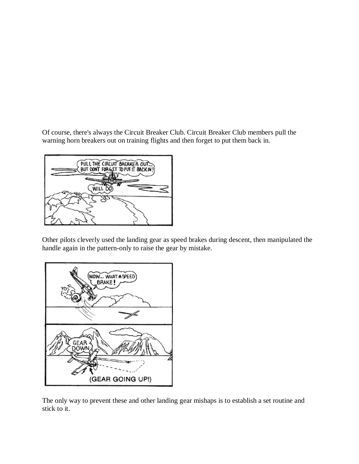Of course, there's always the Circuit Breaker Club. Circuit Breaker Club members pull the warning horn breakers out on training flights and then forget to put them back in.



Other pilots cleverly used the landing gear as speed brakes during descent, then manipulated the handle again in the pattern-only to raise the gear by mistake.



The only way to prevent these and other landing gear mishaps is to establish a set routine and stick to it.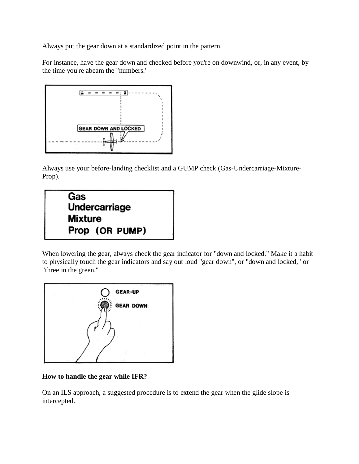Always put the gear down at a standardized point in the pattern.

For instance, have the gear down and checked before you're on downwind, or, in any event, by the time you're abeam the "numbers."



Always use your before-landing checklist and a GUMP check (Gas-Undercarriage-Mixture-Prop).



When lowering the gear, always check the gear indicator for "down and locked." Make it a habit to physically touch the gear indicators and say out loud "gear down", or "down and locked," or "three in the green."



#### **How to handle the gear while IFR?**

On an ILS approach, a suggested procedure is to extend the gear when the glide slope is intercepted.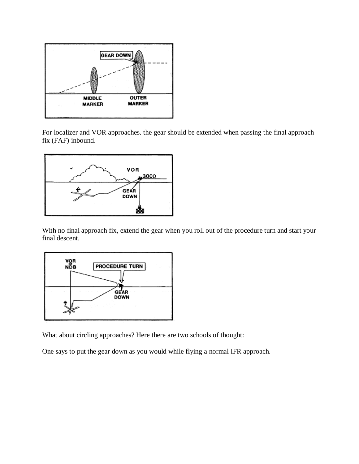

For localizer and VOR approaches. the gear should be extended when passing the final approach fix (FAF) inbound.



With no final approach fix, extend the gear when you roll out of the procedure turn and start your final descent.



What about circling approaches? Here there are two schools of thought:

One says to put the gear down as you would while flying a normal IFR approach.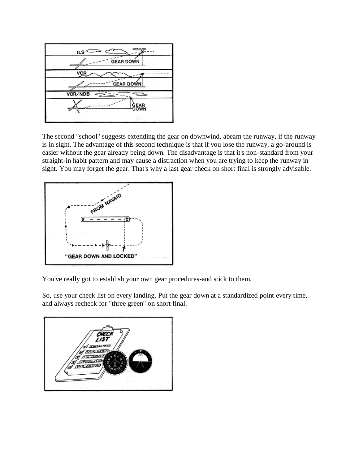

The second "school" suggests extending the gear on downwind, abeam the runway, if the runway is in sight. The advantage of this second technique is that if you lose the runway, a go-around is easier without the gear already being down. The disadvantage is that it's non-standard from your straight-in habit pattern and may cause a distraction when you are trying to keep the runway in sight. You may forget the gear. That's why a last gear check on short final is strongly advisable.



You've really got to establish your own gear procedures-and stick to them.

So, use your check list on every landing. Put the gear down at a standardized point every time, and always recheck for "three green" on short final.

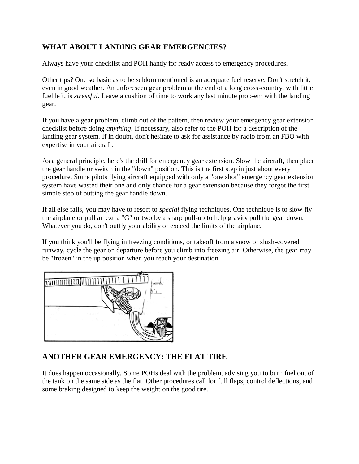#### **WHAT ABOUT LANDING GEAR EMERGENCIES?**

Always have your checklist and POH handy for ready access to emergency procedures.

Other tips? One so basic as to be seldom mentioned is an adequate fuel reserve. Don't stretch it, even in good weather. An unforeseen gear problem at the end of a long cross-country, with little fuel left, is *stressful*. Leave a cushion of time to work any last minute prob-em with the landing gear.

If you have a gear problem, climb out of the pattern, then review your emergency gear extension checklist before doing *anything*. If necessary, also refer to the POH for a description of the landing gear system. If in doubt, don't hesitate to ask for assistance by radio from an FBO with expertise in your aircraft.

As a general principle, here's the drill for emergency gear extension. Slow the aircraft, then place the gear handle or switch in the "down" position. This is the first step in just about every procedure. Some pilots flying aircraft equipped with only a "one shot" emergency gear extension system have wasted their one and only chance for a gear extension because they forgot the first simple step of putting the gear handle down.

If all else fails, you may have to resort to *special* flying techniques. One technique is to slow fly the airplane or pull an extra "G" or two by a sharp pull-up to help gravity pull the gear down. Whatever you do, don't outfly your ability or exceed the limits of the airplane.

If you think you'll be flying in freezing conditions, or takeoff from a snow or slush-covered runway, cycle the gear on departure before you climb into freezing air. Otherwise, the gear may be "frozen" in the up position when you reach your destination.



#### **ANOTHER GEAR EMERGENCY: THE FLAT TIRE**

It does happen occasionally. Some POHs deal with the problem, advising you to burn fuel out of the tank on the same side as the flat. Other procedures call for full flaps, control deflections, and some braking designed to keep the weight on the good tire.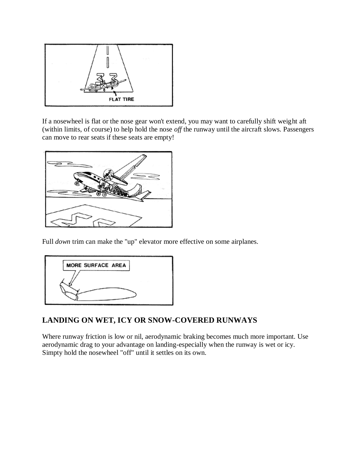

If a nosewheel is flat or the nose gear won't extend, you may want to carefully shift weight aft (within limits, of course) to help hold the nose *off* the runway until the aircraft slows. Passengers can move to rear seats if these seats are empty!



Full *down* trim can make the "up" elevator more effective on some airplanes.



#### **LANDING ON WET, ICY OR SNOW-COVERED RUNWAYS**

Where runway friction is low or nil, aerodynamic braking becomes much more important. Use aerodynamic drag to your advantage on landing-especially when the runway is wet or icy. Simpty hold the nosewheel "off" until it settles on its own.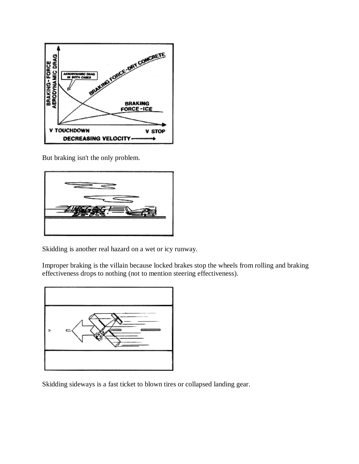

But braking isn't the only problem.



Skidding is another real hazard on a wet or icy runway.

Improper braking is the villain because locked brakes stop the wheels from rolling and braking effectiveness drops to nothing (not to mention steering effectiveness).



Skidding sideways is a fast ticket to blown tires or collapsed landing gear.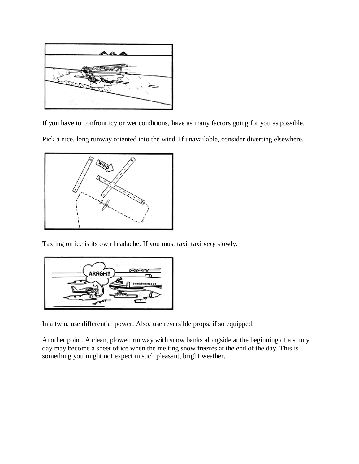

If you have to confront icy or wet conditions, have as many factors going for you as possible. Pick a nice, long runway oriented into the wind. If unavailable, consider diverting elsewhere.



Taxiing on ice is its own headache. If you must taxi, taxi *very* slowly.



In a twin, use differential power. Also, use reversible props, if so equipped.

Another point. A clean, plowed runway with snow banks alongside at the beginning of a sunny day may become a sheet of ice when the melting snow freezes at the end of the day. This is something you might not expect in such pleasant, bright weather.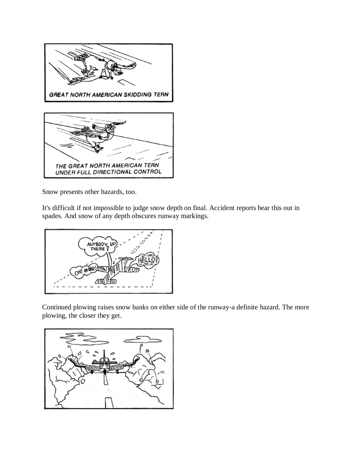

Snow presents other hazards, too.

It's difficult if not impossible to judge snow depth on final. Accident reports bear this out in spades. And snow of any depth obscures runway markings.



Continued plowing raises snow banks on either side of the runway-a definite hazard. The more plowing, the closer they get.

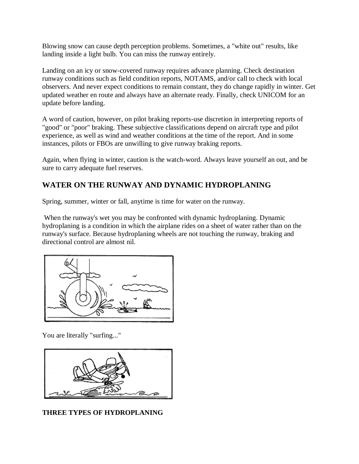Blowing snow can cause depth perception problems. Sometimes, a "white out" results, like landing inside a light bulb. You can miss the runway entirely.

Landing on an icy or snow-covered runway requires advance planning. Check destination runway conditions such as field condition reports, NOTAMS, and/or call to check with local observers. And never expect conditions to remain constant, they do change rapidly in winter. Get updated weather en route and always have an alternate ready. Finally, check UNICOM for an update before landing.

A word of caution, however, on pilot braking reports-use discretion in interpreting reports of "good" or "poor" braking. These subjective classifications depend on aircraft type and pilot experience, as well as wind and weather conditions at the time of the report. And in some instances, pilots or FBOs are unwilling to give runway braking reports.

Again, when flying in winter, caution is the watch-word. Always leave yourself an out, and be sure to carry adequate fuel reserves.

#### **WATER ON THE RUNWAY AND DYNAMIC HYDROPLANING**

Spring, summer, winter or fall, anytime is time for water on the runway.

When the runway's wet you may be confronted with dynamic hydroplaning. Dynamic hydroplaning is a condition in which the airplane rides on a sheet of water rather than on the runway's surface. Because hydroplaning wheels are not touching the runway, braking and directional control are almost nil.



You are literally "surfing..."



#### **THREE TYPES OF HYDROPLANING**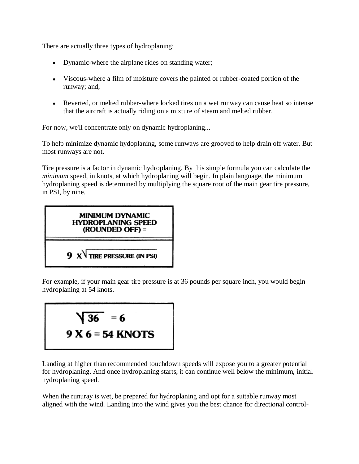There are actually three types of hydroplaning:

- Dynamic-where the airplane rides on standing water;
- Viscous-where a film of moisture covers the painted or rubber-coated portion of the runway; and,
- Reverted, or melted rubber-where locked tires on a wet runway can cause heat so intense that the aircraft is actually riding on a mixture of steam and melted rubber.

For now, we'll concentrate only on dynamic hydroplaning...

To help minimize dynamic hydoplaning, some runways are grooved to help drain off water. But most runways are not.

Tire pressure is a factor in dynamic hydroplaning. By this simple formula you can calculate the *minimum* speed, in knots, at which hydroplaning will begin. In plain language, the minimum hydroplaning speed is determined by multiplying the square root of the main gear tire pressure, in PSI, by nine.



For example, if your main gear tire pressure is at 36 pounds per square inch, you would begin hydroplaning at 54 knots.

$$
\sqrt{36} = 6
$$
  
9 X 6 = 54 KNOTS

Landing at higher than recommended touchdown speeds will expose you to a greater potential for hydroplaning. And once hydroplaning starts, it can continue well below the minimum, initial hydroplaning speed.

When the runuray is wet, be prepared for hydroplaning and opt for a suitable runway most aligned with the wind. Landing into the wind gives you the best chance for directional control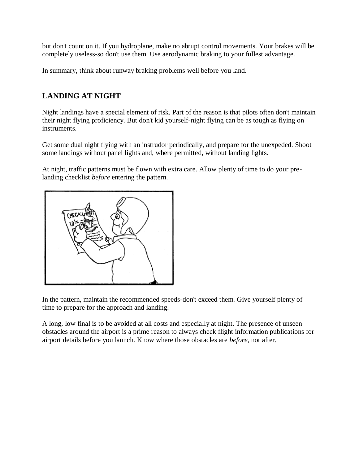but don't count on it. If you hydroplane, make no abrupt control movements. Your brakes will be completely useless-so don't use them. Use aerodynamic braking to your fullest advantage.

In summary, think about runway braking problems well before you land.

#### **LANDING AT NIGHT**

Night landings have a special element of risk. Part of the reason is that pilots often don't maintain their night flying proficiency. But don't kid yourself-night flying can be as tough as flying on instruments.

Get some dual night flying with an instrudor periodically, and prepare for the unexpeded. Shoot some landings without panel lights and, where permitted, without landing lights.

At night, traffic patterns must be flown with extra care. Allow plenty of time to do your prelanding checklist *before* entering the pattern.



In the pattern, maintain the recommended speeds-don't exceed them. Give yourself plenty of time to prepare for the approach and landing.

A long, low final is to be avoided at all costs and especially at night. The presence of unseen obstacles around the airport is a prime reason to always check flight information publications for airport details before you launch. Know where those obstacles are *before*, not after.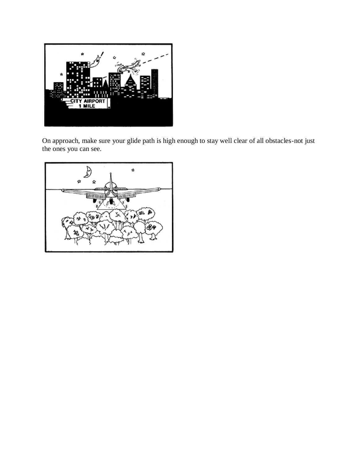

On approach, make sure your glide path is high enough to stay well clear of all obstacles-not just the ones you can see.

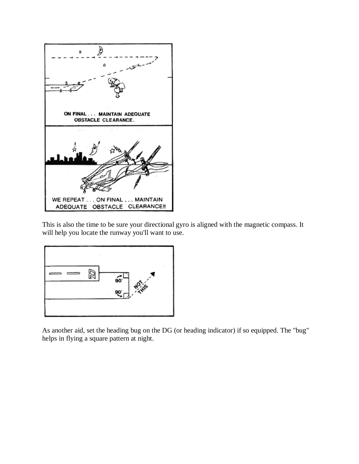

This is also the time to be sure your directional gyro is aligned with the magnetic compass. It will help you locate the runway you'll want to use.



As another aid, set the heading bug on the DG (or heading indicator) if so equipped. The "bug" helps in flying a square pattern at night.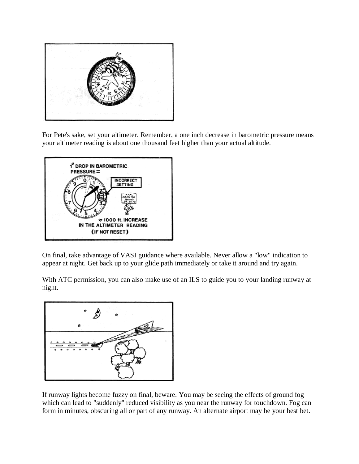

For Pete's sake, set your altimeter. Remember, a one inch decrease in barometric pressure means your altimeter reading is about one thousand feet higher than your actual altitude.



On final, take advantage of VASI guidance where available. Never allow a "low" indication to appear at night. Get back up to your glide path immediately or take it around and try again.

With ATC permission, you can also make use of an ILS to guide you to your landing runway at night.



If runway lights become fuzzy on final, beware. You may be seeing the effects of ground fog which can lead to "suddenly" reduced visibility as you near the runway for touchdown. Fog can form in minutes, obscuring all or part of any runway. An alternate airport may be your best bet.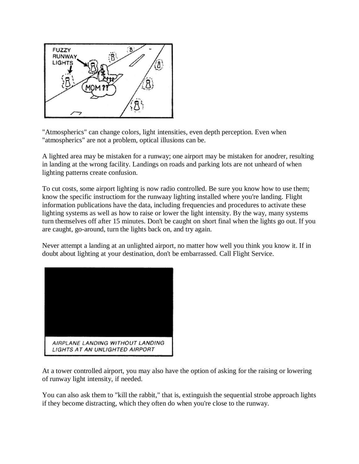

"Atmospherics" can change colors, light intensities, even depth perception. Even when "atmospherics" are not a problem, optical illusions can be.

A lighted area may be mistaken for a runway; one airport may be mistaken for anodrer, resulting in landing at the wrong facility. Landings on roads and parking lots are not unheard of when lighting patterns create confusion.

To cut costs, some airport lighting is now radio controlled. Be sure you know how to use them; know the specific instructiom for the runwaay lighting installed where you're landing. Flight information publications have the data, including frequencies and procedures to activate these lighting systems as well as how to raise or lower the light intensity. By the way, many systems turn themselves off after 15 minutes. Don't be caught on short final when the lights go out. If you are caught, go-around, turn the lights back on, and try again.

Never attempt a landing at an unlighted airport, no matter how well you think you know it. If in doubt about lighting at your destination, don't be embarrassed. Call Flight Service.



At a tower controlled airport, you may also have the option of asking for the raising or lowering of runway light intensity, if needed.

You can also ask them to "kill the rabbit," that is, extinguish the sequential strobe approach lights if they become distracting, which they often do when you're close to the runway.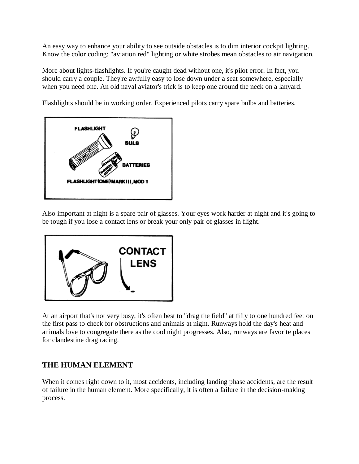An easy way to enhance your ability to see outside obstacles is to dim interior cockpit lighting. Know the color coding: "aviation red" lighting or white strobes mean obstacles to air navigation.

More about lights-flashlights. If you're caught dead without one, it's pilot error. In fact, you should carry a couple. They're awfully easy to lose down under a seat somewhere, especially when you need one. An old naval aviator's trick is to keep one around the neck on a lanyard.

Flashlights should be in working order. Experienced pilots carry spare bulbs and batteries.



Also important at night is a spare pair of glasses. Your eyes work harder at night and it's going to be tough if you lose a contact lens or break your only pair of glasses in flight.



At an airport that's not very busy, it's often best to "drag the field" at fifty to one hundred feet on the first pass to check for obstructions and animals at night. Runways hold the day's heat and animals love to congregate there as the cool night progresses. Also, runways are favorite places for clandestine drag racing.

#### **THE HUMAN ELEMENT**

When it comes right down to it, most accidents, including landing phase accidents, are the result of failure in the human element. More specifically, it is often a failure in the decision-making process.